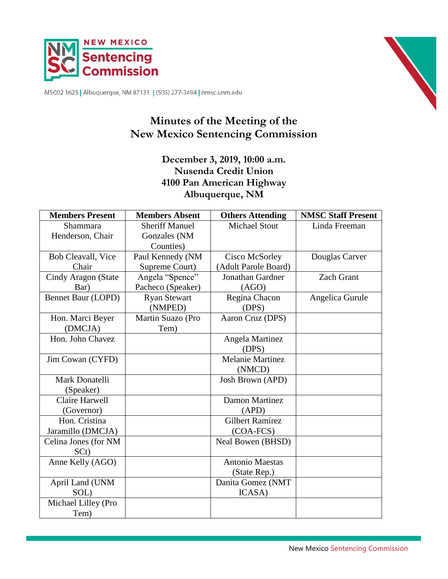



MSC02 1625 | Albuquerque, NM 87131 | (505) 277-3494 | nmsc.unm.edu

# **Minutes of the Meeting of the New Mexico Sentencing Commission**

# **December 3, 2019, 10:00 a.m. Nusenda Credit Union 4100 Pan American Highway Albuquerque, NM**

| <b>Members Present</b> | <b>Members Absent</b> | <b>Others Attending</b> | <b>NMSC Staff Present</b> |
|------------------------|-----------------------|-------------------------|---------------------------|
| Shammara               | <b>Sheriff Manuel</b> | <b>Michael Stout</b>    | Linda Freeman             |
| Henderson, Chair       | Gonzales (NM          |                         |                           |
|                        | Counties)             |                         |                           |
| Bob Cleavall, Vice     | Paul Kennedy (NM      | Cisco McSorley          | Douglas Carver            |
| Chair                  | Supreme Court)        | (Adult Parole Board)    |                           |
| Cindy Aragon (State    | Angela "Spence"       | Jonathan Gardner        | <b>Zach Grant</b>         |
| Bar)                   | Pacheco (Speaker)     | (AGO)                   |                           |
| Bennet Baur (LOPD)     | <b>Ryan Stewart</b>   | Regina Chacon           | Angelica Gurule           |
|                        | (NMPED)               | (DPS)                   |                           |
| Hon. Marci Beyer       | Martin Suazo (Pro     | Aaron Cruz (DPS)        |                           |
| (DMCJA)                | Tem)                  |                         |                           |
| Hon. John Chavez       |                       | Angela Martinez         |                           |
|                        |                       | (DPS)                   |                           |
| Jim Cowan (CYFD)       |                       | <b>Melanie Martinez</b> |                           |
|                        |                       | (NMCD)                  |                           |
| Mark Donatelli         |                       | Josh Brown (APD)        |                           |
| (Speaker)              |                       |                         |                           |
| Claire Harwell         |                       | <b>Damon Martinez</b>   |                           |
| (Governor)             |                       | (APD)                   |                           |
| Hon. Cristina          |                       | <b>Gilbert Ramírez</b>  |                           |
| Jaramillo (DMCJA)      |                       | (COA-FCS)               |                           |
| Celina Jones (for NM   |                       | Neal Bowen (BHSD)       |                           |
| SCt)                   |                       |                         |                           |
| Anne Kelly (AGO)       |                       | <b>Antonio Maestas</b>  |                           |
|                        |                       | (State Rep.)            |                           |
| April Land (UNM        |                       | Danita Gomez (NMT       |                           |
| SOL)                   |                       | ICASA)                  |                           |
| Michael Lilley (Pro    |                       |                         |                           |
| Tem)                   |                       |                         |                           |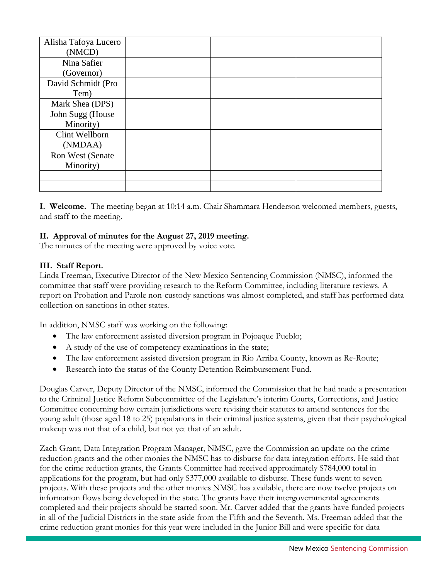| Alisha Tafoya Lucero |  |  |
|----------------------|--|--|
| (NMCD)               |  |  |
| Nina Safier          |  |  |
| (Governor)           |  |  |
| David Schmidt (Pro   |  |  |
| Tem)                 |  |  |
| Mark Shea (DPS)      |  |  |
| John Sugg (House     |  |  |
| Minority)            |  |  |
| Clint Wellborn       |  |  |
| (NMDAA)              |  |  |
| Ron West (Senate     |  |  |
| Minority)            |  |  |
|                      |  |  |
|                      |  |  |

**I. Welcome.** The meeting began at 10:14 a.m. Chair Shammara Henderson welcomed members, guests, and staff to the meeting.

## **II. Approval of minutes for the August 27, 2019 meeting.**

The minutes of the meeting were approved by voice vote.

## **III. Staff Report.**

Linda Freeman, Executive Director of the New Mexico Sentencing Commission (NMSC), informed the committee that staff were providing research to the Reform Committee, including literature reviews. A report on Probation and Parole non-custody sanctions was almost completed, and staff has performed data collection on sanctions in other states.

In addition, NMSC staff was working on the following:

- The law enforcement assisted diversion program in Pojoaque Pueblo;
- A study of the use of competency examinations in the state;
- The law enforcement assisted diversion program in Rio Arriba County, known as Re-Route;
- Research into the status of the County Detention Reimbursement Fund.

Douglas Carver, Deputy Director of the NMSC, informed the Commission that he had made a presentation to the Criminal Justice Reform Subcommittee of the Legislature's interim Courts, Corrections, and Justice Committee concerning how certain jurisdictions were revising their statutes to amend sentences for the young adult (those aged 18 to 25) populations in their criminal justice systems, given that their psychological makeup was not that of a child, but not yet that of an adult.

Zach Grant, Data Integration Program Manager, NMSC, gave the Commission an update on the crime reduction grants and the other monies the NMSC has to disburse for data integration efforts. He said that for the crime reduction grants, the Grants Committee had received approximately \$784,000 total in applications for the program, but had only \$377,000 available to disburse. These funds went to seven projects. With these projects and the other monies NMSC has available, there are now twelve projects on information flows being developed in the state. The grants have their intergovernmental agreements completed and their projects should be started soon. Mr. Carver added that the grants have funded projects in all of the Judicial Districts in the state aside from the Fifth and the Seventh. Ms. Freeman added that the crime reduction grant monies for this year were included in the Junior Bill and were specific for data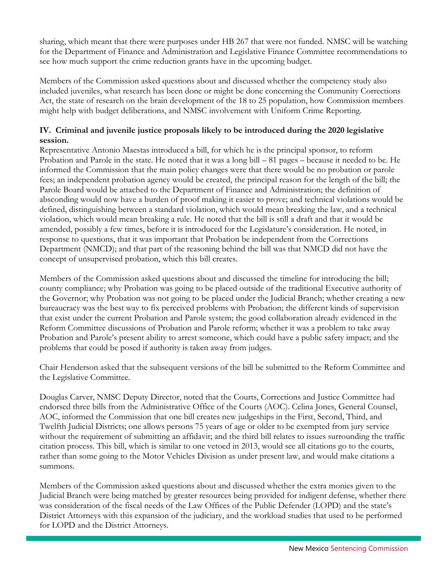sharing, which meant that there were purposes under HB 267 that were not funded. NMSC will be watching for the Department of Finance and Administration and Legislative Finance Committee recommendations to see how much support the crime reduction grants have in the upcoming budget.

Members of the Commission asked questions about and discussed whether the competency study also included juveniles, what research has been done or might be done concerning the Community Corrections Act, the state of research on the brain development of the 18 to 25 population, how Commission members might help with budget deliberations, and NMSC involvement with Uniform Crime Reporting.

# **IV. Criminal and juvenile justice proposals likely to be introduced during the 2020 legislative session.**

Representative Antonio Maestas introduced a bill, for which he is the principal sponsor, to reform Probation and Parole in the state. He noted that it was a long bill – 81 pages – because it needed to be. He informed the Commission that the main policy changes were that there would be no probation or parole fees; an independent probation agency would be created, the principal reason for the length of the bill; the Parole Board would be attached to the Department of Finance and Administration; the definition of absconding would now have a burden of proof making it easier to prove; and technical violations would be defined, distinguishing between a standard violation, which would mean breaking the law, and a technical violation, which would mean breaking a rule. He noted that the bill is still a draft and that it would be amended, possibly a few times, before it is introduced for the Legislature's consideration. He noted, in response to questions, that it was important that Probation be independent from the Corrections Department (NMCD); and that part of the reasoning behind the bill was that NMCD did not have the concept of unsupervised probation, which this bill creates.

Members of the Commission asked questions about and discussed the timeline for introducing the bill; county compliance; why Probation was going to be placed outside of the traditional Executive authority of the Governor; why Probation was not going to be placed under the Judicial Branch; whether creating a new bureaucracy was the best way to fix perceived problems with Probation; the different kinds of supervision that exist under the current Probation and Parole system; the good collaboration already evidenced in the Reform Committee discussions of Probation and Parole reform; whether it was a problem to take away Probation and Parole's present ability to arrest someone, which could have a public safety impact; and the problems that could be posed if authority is taken away from judges.

Chair Henderson asked that the subsequent versions of the bill be submitted to the Reform Committee and the Legislative Committee.

Douglas Carver, NMSC Deputy Director, noted that the Courts, Corrections and Justice Committee had endorsed three bills from the Administrative Office of the Courts (AOC). Celina Jones, General Counsel, AOC, informed the Commission that one bill creates new judgeships in the First, Second, Third, and Twelfth Judicial Districts; one allows persons 75 years of age or older to be exempted from jury service without the requirement of submitting an affidavit; and the third bill relates to issues surrounding the traffic citation process. This bill, which is similar to one vetoed in 2013, would see all citations go to the courts, rather than some going to the Motor Vehicles Division as under present law, and would make citations a summons.

Members of the Commission asked questions about and discussed whether the extra monies given to the Judicial Branch were being matched by greater resources being provided for indigent defense, whether there was consideration of the fiscal needs of the Law Offices of the Public Defender (LOPD) and the state's District Attorneys with this expansion of the judiciary, and the workload studies that used to be performed for LOPD and the District Attorneys.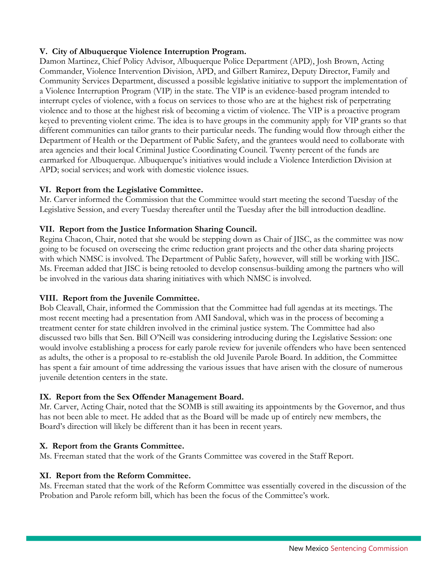# **V. City of Albuquerque Violence Interruption Program.**

Damon Martinez, Chief Policy Advisor, Albuquerque Police Department (APD), Josh Brown, Acting Commander, Violence Intervention Division, APD, and Gilbert Ramirez, Deputy Director, Family and Community Services Department, discussed a possible legislative initiative to support the implementation of a Violence Interruption Program (VIP) in the state. The VIP is an evidence-based program intended to interrupt cycles of violence, with a focus on services to those who are at the highest risk of perpetrating violence and to those at the highest risk of becoming a victim of violence. The VIP is a proactive program keyed to preventing violent crime. The idea is to have groups in the community apply for VIP grants so that different communities can tailor grants to their particular needs. The funding would flow through either the Department of Health or the Department of Public Safety, and the grantees would need to collaborate with area agencies and their local Criminal Justice Coordinating Council. Twenty percent of the funds are earmarked for Albuquerque. Albuquerque's initiatives would include a Violence Interdiction Division at APD; social services; and work with domestic violence issues.

#### **VI. Report from the Legislative Committee.**

Mr. Carver informed the Commission that the Committee would start meeting the second Tuesday of the Legislative Session, and every Tuesday thereafter until the Tuesday after the bill introduction deadline.

## **VII. Report from the Justice Information Sharing Council.**

Regina Chacon, Chair, noted that she would be stepping down as Chair of JISC, as the committee was now going to be focused on overseeing the crime reduction grant projects and the other data sharing projects with which NMSC is involved. The Department of Public Safety, however, will still be working with JISC. Ms. Freeman added that JISC is being retooled to develop consensus-building among the partners who will be involved in the various data sharing initiatives with which NMSC is involved.

# **VIII. Report from the Juvenile Committee.**

Bob Cleavall, Chair, informed the Commission that the Committee had full agendas at its meetings. The most recent meeting had a presentation from AMI Sandoval, which was in the process of becoming a treatment center for state children involved in the criminal justice system. The Committee had also discussed two bills that Sen. Bill O'Neill was considering introducing during the Legislative Session: one would involve establishing a process for early parole review for juvenile offenders who have been sentenced as adults, the other is a proposal to re-establish the old Juvenile Parole Board. In addition, the Committee has spent a fair amount of time addressing the various issues that have arisen with the closure of numerous juvenile detention centers in the state.

#### **IX. Report from the Sex Offender Management Board.**

Mr. Carver, Acting Chair, noted that the SOMB is still awaiting its appointments by the Governor, and thus has not been able to meet. He added that as the Board will be made up of entirely new members, the Board's direction will likely be different than it has been in recent years.

## **X. Report from the Grants Committee.**

Ms. Freeman stated that the work of the Grants Committee was covered in the Staff Report.

#### **XI. Report from the Reform Committee.**

Ms. Freeman stated that the work of the Reform Committee was essentially covered in the discussion of the Probation and Parole reform bill, which has been the focus of the Committee's work.